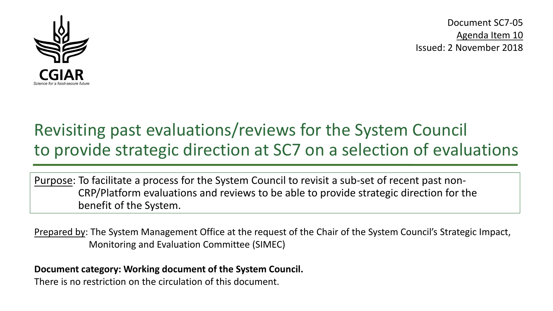

Document SC7-05 Agenda Item 10 Issued: 2 November 2018

# Revisiting past evaluations/reviews for the System Council to provide strategic direction at SC7 on a selection of evaluations

Purpose: To facilitate a process for the System Council to revisit a sub-set of recent past non-CRP/Platform evaluations and reviews to be able to provide strategic direction for the benefit of the System.

Prepared by: The System Management Office at the request of the Chair of the System Council's Strategic Impact, Monitoring and Evaluation Committee (SIMEC)

#### **Document category: Working document of the System Council.**

There is no restriction on the circulation of this document.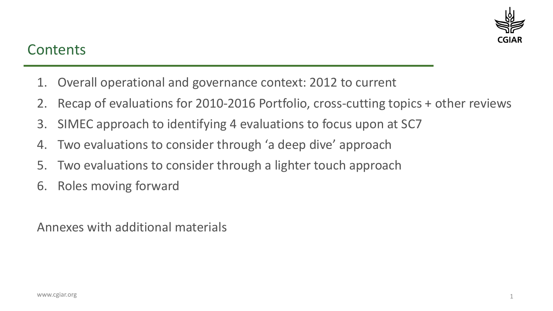

#### **Contents**

- 1. Overall operational and governance context: 2012 to current
- 2. Recap of evaluations for 2010-2016 Portfolio, cross-cutting topics + other reviews
- 3. SIMEC approach to identifying 4 evaluations to focus upon at SC7
- 4. Two evaluations to consider through 'a deep dive' approach
- 5. Two evaluations to consider through a lighter touch approach
- 6. Roles moving forward

Annexes with additional materials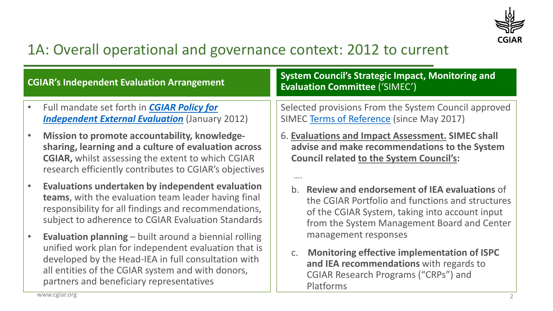

### 1A: Overall operational and governance context: 2012 to current

….

#### **CGIAR's Independent Evaluation Arrangement**

**System Council's Strategic Impact, Monitoring and Evaluation Committee** ('SIMEC')

- Full mandate set forth in *CGIAR Policy for [Independent External Evaluation](http://iea.cgiar.org/wp-content/uploads/2018/01/CGIAR-Evaluation-Policy-Final-approved-document-effective-February-2012.pdf)* (January 2012)
- **Mission to promote accountability, knowledgesharing, learning and a culture of evaluation across CGIAR,** whilst assessing the extent to which CGIAR research efficiently contributes to CGIAR's objectives
- **Evaluations undertaken by independent evaluation teams**, with the evaluation team leader having final responsibility for all findings and recommendations, subject to adherence to CGIAR Evaluation Standards
- **Evaluation planning**  built around a biennial rolling unified work plan for independent evaluation that is developed by the Head-IEA in full consultation with all entities of the CGIAR system and with donors, partners and beneficiary representatives

Selected provisions From the System Council approved SIMEC [Terms of Reference](https://www.cgiar.org/wp/wp-content/uploads/2017/06/TOR-SC_SIMEC_11May2017.pdf) (since May 2017)

- 6. **Evaluations and Impact Assessment. SIMEC shall advise and make recommendations to the System Council related to the System Council's:**
	- b. **Review and endorsement of IEA evaluations** of the CGIAR Portfolio and functions and structures of the CGIAR System, taking into account input from the System Management Board and Center management responses
	- c. **Monitoring effective implementation of ISPC and IEA recommendations** with regards to CGIAR Research Programs ("CRPs") and Platforms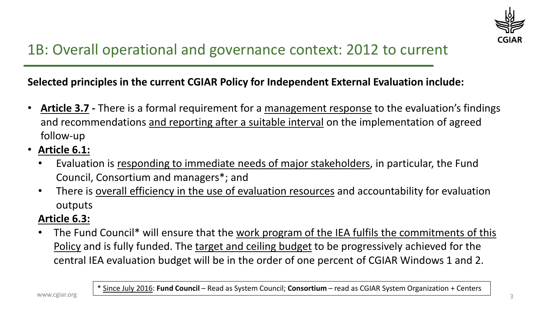

## 1B: Overall operational and governance context: 2012 to current

#### **Selected principles in the current CGIAR Policy for Independent External Evaluation include:**

- **Article 3.7 -** There is a formal requirement for a management response to the evaluation's findings and recommendations and reporting after a suitable interval on the implementation of agreed follow-up
- **Article 6.1:**
	- Evaluation is responding to immediate needs of major stakeholders, in particular, the Fund Council, Consortium and managers\*; and
	- There is overall efficiency in the use of evaluation resources and accountability for evaluation outputs

#### **Article 6.3:**

The Fund Council\* will ensure that the work program of the IEA fulfils the commitments of this Policy and is fully funded. The target and ceiling budget to be progressively achieved for the central IEA evaluation budget will be in the order of one percent of CGIAR Windows 1 and 2.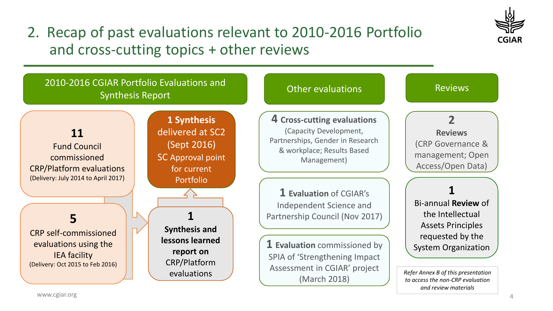

### 2. Recap of past evaluations relevant to 2010-2016 Portfolio and cross-cutting topics + other reviews

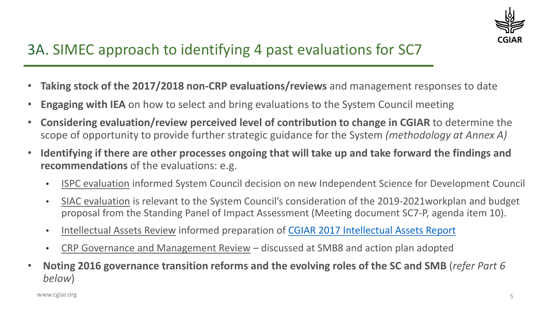

## 3A. SIMEC approach to identifying 4 past evaluations for SC7

- **Taking stock of the 2017/2018 non-CRP evaluations/reviews** and management responses to date
- **Engaging with IEA** on how to select and bring evaluations to the System Council meeting
- **Considering evaluation/review perceived level of contribution to change in CGIAR** to determine the scope of opportunity to provide further strategic guidance for the System *(methodology at Annex A)*
- **Identifying if there are other processes ongoing that will take up and take forward the findings and recommendations** of the evaluations: e.g.
	- ISPC evaluation informed System Council decision on new Independent Science for Development Council
	- SIAC evaluation is relevant to the System Council's consideration of the 2019-2021workplan and budget proposal from the Standing Panel of Impact Assessment (Meeting document SC7-P, agenda item 10).
	- Intellectual Assets Review informed preparation of [CGIAR 2017 Intellectual Assets Report](https://www.cgiar.org/wp/wp-content/uploads/2018/10/CGIAR-2017-Intellectual-Assets-Report.pdf)
	- CRP Governance and Management Review discussed at SMB8 and action plan adopted
- **Noting 2016 governance transition reforms and the evolving roles of the SC and SMB** (*refer Part 6 below*)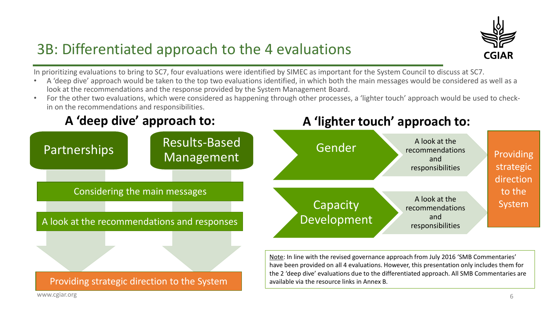

#### 3B: Differentiated approach to the 4 evaluations

In prioritizing evaluations to bring to SC7, four evaluations were identified by SIMEC as important for the System Council to discuss at SC7.

- A 'deep dive' approach would be taken to the top two evaluations identified, in which both the main messages would be considered as well as a look at the recommendations and the response provided by the System Management Board.
- For the other two evaluations, which were considered as happening through other processes, a 'lighter touch' approach would be used to checkin on the recommendations and responsibilities.

#### **A 'deep dive' approach to: A 'lighter touch' approach to:**



Providing strategic direction to the System

have been provided on all 4 evaluations. However, this presentation only includes them for the 2 'deep dive' evaluations due to the differentiated approach. All SMB Commentaries are available via the resource links in Annex B.

www.cgiar.org 6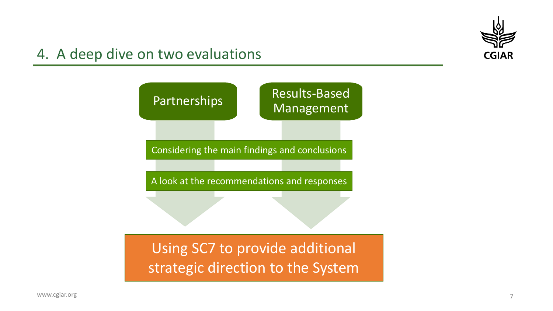

#### 4. A deep dive on two evaluations

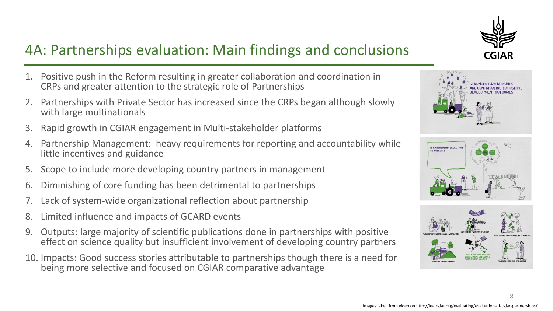

## 4A: Partnerships evaluation: Main findings and conclusions

- 1. Positive push in the Reform resulting in greater collaboration and coordination in CRPs and greater attention to the strategic role of Partnerships
- 2. Partnerships with Private Sector has increased since the CRPs began although slowly with large multinationals
- 3. Rapid growth in CGIAR engagement in Multi-stakeholder platforms
- 4. Partnership Management: heavy requirements for reporting and accountability while little incentives and guidance
- 5. Scope to include more developing country partners in management
- 6. Diminishing of core funding has been detrimental to partnerships
- Lack of system-wide organizational reflection about partnership
- 8. Limited influence and impacts of GCARD events
- 9. Outputs: large majority of scientific publications done in partnerships with positive effect on science quality but insufficient involvement of developing country partners
- 10. Impacts: Good success stories attributable to partnerships though there is a need for being more selective and focused on CGIAR comparative advantage





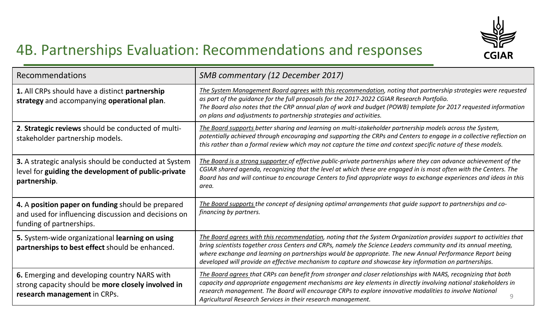

#### 4B. Partnerships Evaluation: Recommendations and responses

| Recommendations                                                                                                                       | SMB commentary (12 December 2017)                                                                                                                                                                                                                                                                                                                                                                                                                           |
|---------------------------------------------------------------------------------------------------------------------------------------|-------------------------------------------------------------------------------------------------------------------------------------------------------------------------------------------------------------------------------------------------------------------------------------------------------------------------------------------------------------------------------------------------------------------------------------------------------------|
| 1. All CRPs should have a distinct partnership<br>strategy and accompanying operational plan.                                         | The System Management Board agrees with this recommendation, noting that partnership strategies were requested<br>as part of the guidance for the full proposals for the 2017-2022 CGIAR Research Portfolio.<br>The Board also notes that the CRP annual plan of work and budget (POWB) template for 2017 requested information<br>on plans and adjustments to partnership strategies and activities.                                                       |
| 2. Strategic reviews should be conducted of multi-<br>stakeholder partnership models.                                                 | The Board supports better sharing and learning on multi-stakeholder partnership models across the System,<br>potentially achieved through encouraging and supporting the CRPs and Centers to engage in a collective reflection on<br>this rather than a formal review which may not capture the time and context specific nature of these models.                                                                                                           |
| 3. A strategic analysis should be conducted at System<br>level for guiding the development of public-private<br>partnership.          | The Board is a strong supporter of effective public-private partnerships where they can advance achievement of the<br>CGIAR shared agenda, recognizing that the level at which these are engaged in is most often with the Centers. The<br>Board has and will continue to encourage Centers to find appropriate ways to exchange experiences and ideas in this<br>area.                                                                                     |
| 4. A position paper on funding should be prepared<br>and used for influencing discussion and decisions on<br>funding of partnerships. | The Board supports the concept of designing optimal arrangements that guide support to partnerships and co-<br>financing by partners.                                                                                                                                                                                                                                                                                                                       |
| 5. System-wide organizational learning on using<br>partnerships to best effect should be enhanced.                                    | The Board agrees with this recommendation, noting that the System Organization provides support to activities that<br>bring scientists together cross Centers and CRPs, namely the Science Leaders community and its annual meeting,<br>where exchange and learning on partnerships would be appropriate. The new Annual Performance Report being<br>developed will provide an effective mechanism to capture and showcase key information on partnerships. |
| 6. Emerging and developing country NARS with<br>strong capacity should be more closely involved in<br>research management in CRPs.    | The Board agrees that CRPs can benefit from stronger and closer relationships with NARS, recognizing that both<br>capacity and appropriate engagement mechanisms are key elements in directly involving national stakeholders in<br>research management. The Board will encourage CRPs to explore innovative modalities to involve National<br>$\overline{9}$<br>Agricultural Research Services in their research management.                               |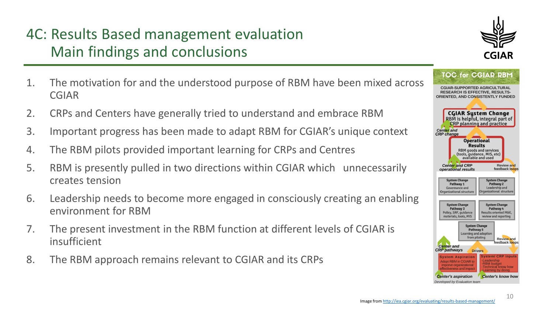### 4C: Results Based management evaluation Main findings and conclusions

**CGIAR** 

- 1. The motivation for and the understood purpose of RBM have been mixed across CGIAR
- 2. CRPs and Centers have generally tried to understand and embrace RBM
- 3. Important progress has been made to adapt RBM for CGIAR's unique context
- 4. The RBM pilots provided important learning for CRPs and Centres
- 5. RBM is presently pulled in two directions within CGIAR which unnecessarily creates tension
- 6. Leadership needs to become more engaged in consciously creating an enabling environment for RBM
- 7. The present investment in the RBM function at different levels of CGIAR is insufficient
- 8. The RBM approach remains relevant to CGIAR and its CRPs



10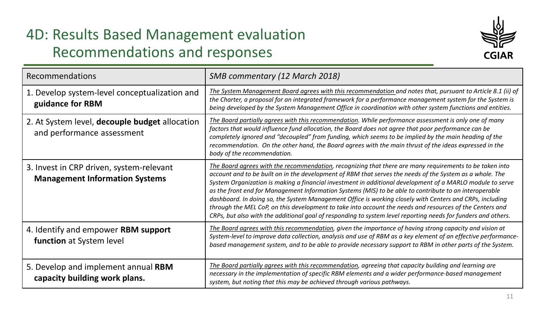### 4D: Results Based Management evaluation Recommendations and responses



| <b>Recommendations</b>                                                            | SMB commentary (12 March 2018)                                                                                                                                                                                                                                                                                                                                                                                                                                                                                                                                                                                                                                                                                                                                                      |
|-----------------------------------------------------------------------------------|-------------------------------------------------------------------------------------------------------------------------------------------------------------------------------------------------------------------------------------------------------------------------------------------------------------------------------------------------------------------------------------------------------------------------------------------------------------------------------------------------------------------------------------------------------------------------------------------------------------------------------------------------------------------------------------------------------------------------------------------------------------------------------------|
| 1. Develop system-level conceptualization and<br>guidance for RBM                 | The System Management Board agrees with this recommendation and notes that, pursuant to Article 8.1 (ii) of<br>the Charter, a proposal for an integrated framework for a performance management system for the System is<br>being developed by the System Management Office in coordination with other system functions and entities.                                                                                                                                                                                                                                                                                                                                                                                                                                               |
| 2. At System level, decouple budget allocation<br>and performance assessment      | The Board partially agrees with this recommendation. While performance assessment is only one of many<br>factors that would influence fund allocation, the Board does not agree that poor performance can be<br>completely ignored and "decoupled" from funding, which seems to be implied by the main heading of the<br>recommendation. On the other hand, the Board agrees with the main thrust of the ideas expressed in the<br>body of the recommendation.                                                                                                                                                                                                                                                                                                                      |
| 3. Invest in CRP driven, system-relevant<br><b>Management Information Systems</b> | The Board agrees with the recommendation, recognizing that there are many requirements to be taken into<br>account and to be built on in the development of RBM that serves the needs of the System as a whole. The<br>System Organization is making a financial investment in additional development of a MARLO module to serve<br>as the front end for Management Information Systems (MIS) to be able to contribute to an interoperable<br>dashboard. In doing so, the System Management Office is working closely with Centers and CRPs, including<br>through the MEL CoP, on this development to take into account the needs and resources of the Centers and<br>CRPs, but also with the additional goal of responding to system level reporting needs for funders and others. |
| 4. Identify and empower RBM support<br>function at System level                   | The Board agrees with this recommendation, given the importance of having strong capacity and vision at<br>System-level to improve data collection, analysis and use of RBM as a key element of an effective performance-<br>based management system, and to be able to provide necessary support to RBM in other parts of the System.                                                                                                                                                                                                                                                                                                                                                                                                                                              |
| 5. Develop and implement annual RBM<br>capacity building work plans.              | The Board partially agrees with this recommendation, agreeing that capacity building and learning are<br>necessary in the implementation of specific RBM elements and a wider performance-based management<br>system, but noting that this may be achieved through various pathways.                                                                                                                                                                                                                                                                                                                                                                                                                                                                                                |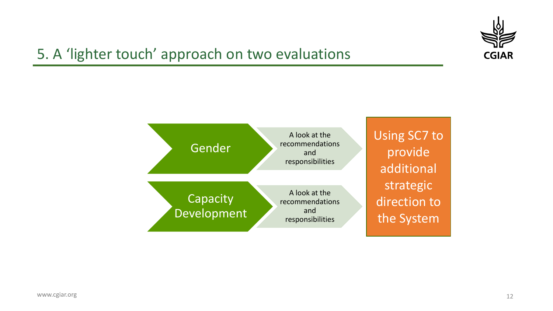

### 5. A 'lighter touch' approach on two evaluations

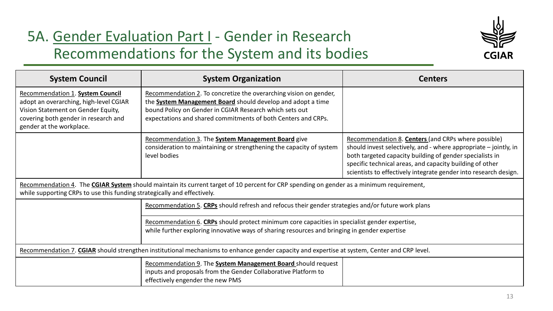#### 5A. Gender Evaluation Part I - Gender in Research Recommendations for the System and its bodies



| <b>System Council</b>                                                                                                                                                                | <b>System Organization</b>                                                                                                                                                                                                                                   | <b>Centers</b>                                                                                                                                                                                                                                                                                                      |
|--------------------------------------------------------------------------------------------------------------------------------------------------------------------------------------|--------------------------------------------------------------------------------------------------------------------------------------------------------------------------------------------------------------------------------------------------------------|---------------------------------------------------------------------------------------------------------------------------------------------------------------------------------------------------------------------------------------------------------------------------------------------------------------------|
| Recommendation 1. System Council<br>adopt an overarching, high-level CGIAR<br>Vision Statement on Gender Equity,<br>covering both gender in research and<br>gender at the workplace. | Recommendation 2. To concretize the overarching vision on gender,<br>the System Management Board should develop and adopt a time<br>bound Policy on Gender in CGIAR Research which sets out<br>expectations and shared commitments of both Centers and CRPs. |                                                                                                                                                                                                                                                                                                                     |
|                                                                                                                                                                                      | Recommendation 3. The System Management Board give<br>consideration to maintaining or strengthening the capacity of system<br>level bodies                                                                                                                   | Recommendation 8. Centers (and CRPs where possible)<br>should invest selectively, and - where appropriate - jointly, in<br>both targeted capacity building of gender specialists in<br>specific technical areas, and capacity building of other<br>scientists to effectively integrate gender into research design. |
| while supporting CRPs to use this funding strategically and effectively.                                                                                                             | Recommendation 4. The CGIAR System should maintain its current target of 10 percent for CRP spending on gender as a minimum requirement,                                                                                                                     |                                                                                                                                                                                                                                                                                                                     |
|                                                                                                                                                                                      | Recommendation 5. CRPs should refresh and refocus their gender strategies and/or future work plans                                                                                                                                                           |                                                                                                                                                                                                                                                                                                                     |
|                                                                                                                                                                                      | Recommendation 6. CRPs should protect minimum core capacities in specialist gender expertise,<br>while further exploring innovative ways of sharing resources and bringing in gender expertise                                                               |                                                                                                                                                                                                                                                                                                                     |
| Recommendation 7. CGIAR should strengthen institutional mechanisms to enhance gender capacity and expertise at system, Center and CRP level.                                         |                                                                                                                                                                                                                                                              |                                                                                                                                                                                                                                                                                                                     |
|                                                                                                                                                                                      | Recommendation 9. The System Management Board should request<br>inputs and proposals from the Gender Collaborative Platform to<br>effectively engender the new PMS                                                                                           |                                                                                                                                                                                                                                                                                                                     |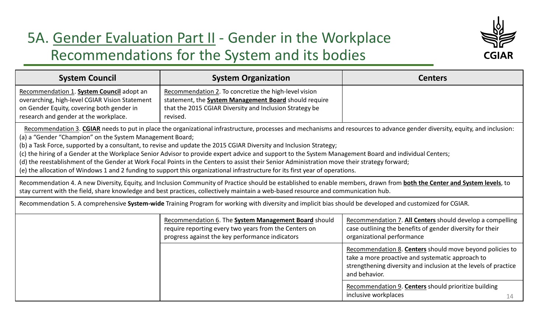#### 5A. Gender Evaluation Part II - Gender in the Workplace Recommendations for the System and its bodies



| <b>System Council</b>                                                                                                                                                                                                                                                                                                                                                                                                                                                                                                                                                                                                                                                                                                                                                                                    | <b>System Organization</b>                                                                                                                                                                   | <b>Centers</b>                                                                                                                                                                                   |
|----------------------------------------------------------------------------------------------------------------------------------------------------------------------------------------------------------------------------------------------------------------------------------------------------------------------------------------------------------------------------------------------------------------------------------------------------------------------------------------------------------------------------------------------------------------------------------------------------------------------------------------------------------------------------------------------------------------------------------------------------------------------------------------------------------|----------------------------------------------------------------------------------------------------------------------------------------------------------------------------------------------|--------------------------------------------------------------------------------------------------------------------------------------------------------------------------------------------------|
| Recommendation 1. System Council adopt an<br>overarching, high-level CGIAR Vision Statement<br>on Gender Equity, covering both gender in<br>research and gender at the workplace.                                                                                                                                                                                                                                                                                                                                                                                                                                                                                                                                                                                                                        | Recommendation 2. To concretize the high-level vision<br>statement, the <b>System Management Board</b> should require<br>that the 2015 CGIAR Diversity and Inclusion Strategy be<br>revised. |                                                                                                                                                                                                  |
| Recommendation 3. CGIAR needs to put in place the organizational infrastructure, processes and mechanisms and resources to advance gender diversity, equity, and inclusion:<br>(a) a "Gender "Champion" on the System Management Board;<br>(b) a Task Force, supported by a consultant, to revise and update the 2015 CGIAR Diversity and Inclusion Strategy;<br>(c) the hiring of a Gender at the Workplace Senior Advisor to provide expert advice and support to the System Management Board and individual Centers;<br>(d) the reestablishment of the Gender at Work Focal Points in the Centers to assist their Senior Administration move their strategy forward;<br>(e) the allocation of Windows 1 and 2 funding to support this organizational infrastructure for its first year of operations. |                                                                                                                                                                                              |                                                                                                                                                                                                  |
| Recommendation 4. A new Diversity, Equity, and Inclusion Community of Practice should be established to enable members, drawn from both the Center and System levels, to<br>stay current with the field, share knowledge and best practices, collectively maintain a web-based resource and communication hub.                                                                                                                                                                                                                                                                                                                                                                                                                                                                                           |                                                                                                                                                                                              |                                                                                                                                                                                                  |
| Recommendation 5. A comprehensive System-wide Training Program for working with diversity and implicit bias should be developed and customized for CGIAR.                                                                                                                                                                                                                                                                                                                                                                                                                                                                                                                                                                                                                                                |                                                                                                                                                                                              |                                                                                                                                                                                                  |
|                                                                                                                                                                                                                                                                                                                                                                                                                                                                                                                                                                                                                                                                                                                                                                                                          | Recommendation 6. The System Management Board should<br>require reporting every two years from the Centers on<br>progress against the key performance indicators                             | Recommendation 7. All Centers should develop a compelling<br>case outlining the benefits of gender diversity for their<br>organizational performance                                             |
|                                                                                                                                                                                                                                                                                                                                                                                                                                                                                                                                                                                                                                                                                                                                                                                                          |                                                                                                                                                                                              | Recommendation 8. Centers should move beyond policies to<br>take a more proactive and systematic approach to<br>strengthening diversity and inclusion at the levels of practice<br>and behavior. |
|                                                                                                                                                                                                                                                                                                                                                                                                                                                                                                                                                                                                                                                                                                                                                                                                          |                                                                                                                                                                                              | Recommendation 9. Centers should prioritize building<br>inclusive workplaces<br>14                                                                                                               |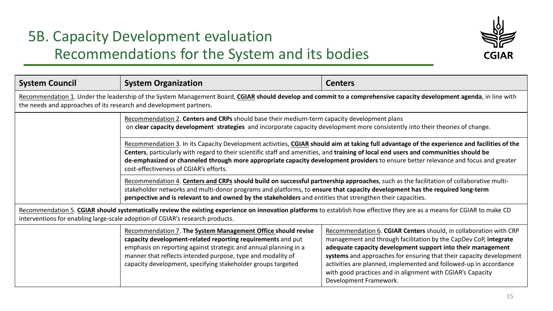### 5B. Capacity Development evaluation Recommendations for the System and its bodies



| <b>System Council</b>                                                                                                                                                                                                                                     | <b>System Organization</b>                                                                                                                                                                                                                                                                                                                                                           | <b>Centers</b>                                                                                                                                                                                                                                                                                                                                                                                                                           |
|-----------------------------------------------------------------------------------------------------------------------------------------------------------------------------------------------------------------------------------------------------------|--------------------------------------------------------------------------------------------------------------------------------------------------------------------------------------------------------------------------------------------------------------------------------------------------------------------------------------------------------------------------------------|------------------------------------------------------------------------------------------------------------------------------------------------------------------------------------------------------------------------------------------------------------------------------------------------------------------------------------------------------------------------------------------------------------------------------------------|
| Recommendation 1. Under the leadership of the System Management Board, CGIAR should develop and commit to a comprehensive capacity development agenda, in line with<br>the needs and approaches of its research and development partners.                 |                                                                                                                                                                                                                                                                                                                                                                                      |                                                                                                                                                                                                                                                                                                                                                                                                                                          |
|                                                                                                                                                                                                                                                           | Recommendation 2. Centers and CRPs should base their medium-term capacity development plans<br>on clear capacity development strategies and incorporate capacity development more consistently into their theories of change.                                                                                                                                                        |                                                                                                                                                                                                                                                                                                                                                                                                                                          |
|                                                                                                                                                                                                                                                           | Centers, particularly with regard to their scientific staff and amenities, and training of local end users and communities should be<br>de-emphasized or channeled through more appropriate capacity development providers to ensure better relevance and focus and greater<br>cost-effectiveness of CGIAR's efforts.                                                                | Recommendation 3. In its Capacity Development activities, CGIAR should aim at taking full advantage of the experience and facilities of the                                                                                                                                                                                                                                                                                              |
|                                                                                                                                                                                                                                                           | Recommendation 4. Centers and CRPs should build on successful partnership approaches, such as the facilitation of collaborative multi-<br>stakeholder networks and multi-donor programs and platforms, to ensure that capacity development has the required long-term<br>perspective and is relevant to and owned by the stakeholders and entities that strengthen their capacities. |                                                                                                                                                                                                                                                                                                                                                                                                                                          |
| Recommendation 5. CGIAR should systematically review the existing experience on innovation platforms to establish how effective they are as a means for CGIAR to make CD<br>interventions for enabling large-scale adoption of CGIAR's research products. |                                                                                                                                                                                                                                                                                                                                                                                      |                                                                                                                                                                                                                                                                                                                                                                                                                                          |
|                                                                                                                                                                                                                                                           | Recommendation 7. The System Management Office should revise<br>capacity development-related reporting requirements and put<br>emphasis on reporting against strategic and annual planning in a<br>manner that reflects intended purpose, type and modality of<br>capacity development, specifying stakeholder groups targeted                                                       | Recommendation 6. CGIAR Centers should, in collaboration with CRP<br>management and through facilitation by the CapDev CoP, integrate<br>adequate capacity development support into their management<br>systems and approaches for ensuring that their capacity development<br>activities are planned, implemented and followed-up in accordance<br>with good practices and in alignment with CGIAR's Capacity<br>Development Framework. |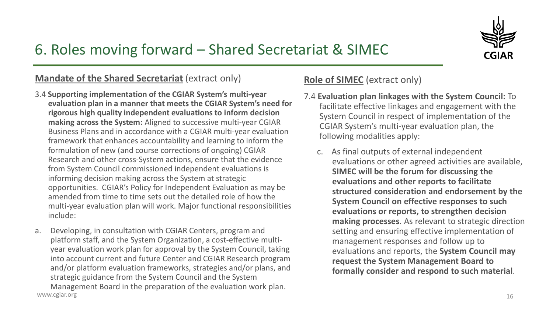

## 6. Roles moving forward – Shared Secretariat & SIMEC

#### **Mandate of the Shared Secretariat** (extract only)

- 3.4 **Supporting implementation of the CGIAR System's multi-year evaluation plan in a manner that meets the CGIAR System's need for rigorous high quality independent evaluations to inform decision making across the System:** Aligned to successive multi-year CGIAR Business Plans and in accordance with a CGIAR multi-year evaluation framework that enhances accountability and learning to inform the formulation of new (and course corrections of ongoing) CGIAR Research and other cross-System actions, ensure that the evidence from System Council commissioned independent evaluations is informing decision making across the System at strategic opportunities. CGIAR's Policy for Independent Evaluation as may be amended from time to time sets out the detailed role of how the multi-year evaluation plan will work. Major functional responsibilities include:
- a. Developing, in consultation with CGIAR Centers, program and platform staff, and the System Organization, a cost-effective multiyear evaluation work plan for approval by the System Council, taking into account current and future Center and CGIAR Research program and/or platform evaluation frameworks, strategies and/or plans, and strategic guidance from the System Council and the System

www.cgiar.org 2016 and the state of the state of the state of the state of the state of the state of the state of the state of the state of the state of the state of the state of the state of the state of the state of the Management Board in the preparation of the evaluation work plan.

#### **Role of SIMEC** (extract only)

- 7.4 **Evaluation plan linkages with the System Council:** To facilitate effective linkages and engagement with the System Council in respect of implementation of the CGIAR System's multi-year evaluation plan, the following modalities apply:
	- c. As final outputs of external independent evaluations or other agreed activities are available, **SIMEC will be the forum for discussing the evaluations and other reports to facilitate structured consideration and endorsement by the System Council on effective responses to such evaluations or reports, to strengthen decision making processes**. As relevant to strategic direction setting and ensuring effective implementation of management responses and follow up to evaluations and reports, the **System Council may request the System Management Board to formally consider and respond to such material**.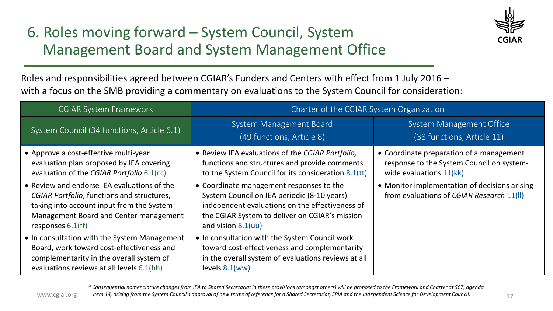

### 6. Roles moving forward – System Council, System Management Board and System Management Office

Roles and responsibilities agreed between CGIAR's Funders and Centers with effect from 1 July 2016 – with a focus on the SMB providing a commentary on evaluations to the System Council for consideration:

| <b>CGIAR System Framework</b>                                                                                                                                                                            | Charter of the CGIAR System Organization                                                                                                                                                                              |                                                                                                                  |
|----------------------------------------------------------------------------------------------------------------------------------------------------------------------------------------------------------|-----------------------------------------------------------------------------------------------------------------------------------------------------------------------------------------------------------------------|------------------------------------------------------------------------------------------------------------------|
| System Council (34 functions, Article 6.1)                                                                                                                                                               | System Management Board<br>(49 functions, Article 8)                                                                                                                                                                  | System Management Office<br>(38 functions, Article 11)                                                           |
| • Approve a cost-effective multi-year<br>evaluation plan proposed by IEA covering<br>evaluation of the CGIAR Portfolio 6.1(cc)                                                                           | • Review IEA evaluations of the CGIAR Portfolio,<br>functions and structures and provide comments<br>to the System Council for its consideration 8.1(tt)                                                              | • Coordinate preparation of a management<br>response to the System Council on system-<br>wide evaluations 11(kk) |
| • Review and endorse IEA evaluations of the<br>CGIAR Portfolio, functions and structures,<br>taking into account input from the System<br>Management Board and Center management<br>responses $6.1$ (ff) | • Coordinate management responses to the<br>System Council on IEA periodic (8-10 years)<br>independent evaluations on the effectiveness of<br>the CGIAR System to deliver on CGIAR's mission<br>and vision $8.1$ (uu) | • Monitor implementation of decisions arising<br>from evaluations of CGIAR Research 11(II)                       |
| • In consultation with the System Management<br>Board, work toward cost-effectiveness and<br>complementarity in the overall system of<br>evaluations reviews at all levels 6.1(hh)                       | • In consultation with the System Council work<br>toward cost-effectiveness and complementarity<br>in the overall system of evaluations reviews at all<br>levels $8.1$ (ww)                                           |                                                                                                                  |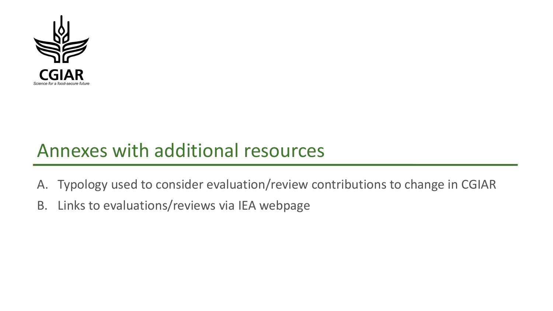

# Annexes with additional resources

- A. Typology used to consider evaluation/review contributions to change in CGIAR
- B. Links to evaluations/reviews via IEA webpage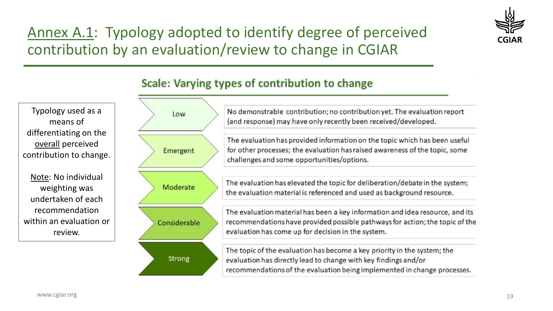

## Annex A.1: Typology adopted to identify degree of perceived contribution by an evaluation/review to change in CGIAR

#### Scale: Varying types of contribution to change Typology used as a No demonstrable contribution; no contribution yet. The evaluation report Low (and response) may have only recently been received/developed. means of differentiating on the The evaluation has provided information on the topic which has been useful overall perceived for other processes; the evaluation has raised awareness of the topic, some Emergent contribution to change. challenges and some opportunities/options. Note: No individual The evaluation has elevated the topic for deliberation/debate in the system; Moderate weighting was the evaluation material is referenced and used as background resource. undertaken of each recommendation The evaluation material has been a key information and idea resource, and its within an evaluation or recommendations have provided possible pathways for action; the topic of the Considerable evaluation has come up for decision in the system. review. The topic of the evaluation has become a key priority in the system; the Strong evaluation has directly lead to change with key findings and/or recommendations of the evaluation being implemented in change processes.

www.cgiar.org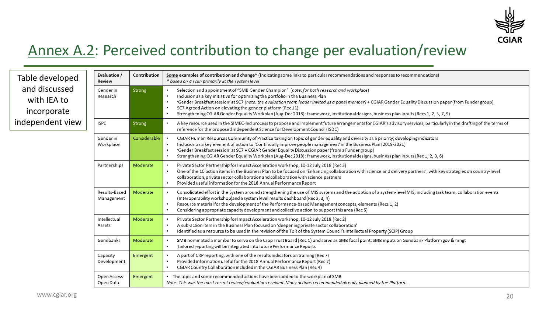

#### Annex A.2: Perceived contribution to change per evaluation/review

| Table developed<br>and discussed<br>with IEA to<br>incorporate<br>independent view | Evaluation /<br><b>Review</b> | Contribution | Some examples of contribution and change* (Indicating some links to particular recommendations and responses to recommendations)<br>* based on a scan primarily at the system level                                                                                                                                                                                                                                                                                                                                                                                                                         |
|------------------------------------------------------------------------------------|-------------------------------|--------------|-------------------------------------------------------------------------------------------------------------------------------------------------------------------------------------------------------------------------------------------------------------------------------------------------------------------------------------------------------------------------------------------------------------------------------------------------------------------------------------------------------------------------------------------------------------------------------------------------------------|
|                                                                                    | Gender in<br>Research         | Strong       | Selection and appointment of "SMB Gender Champion" (note: for both research and workplace)<br>$\bullet$<br>Inclusion as a key initiative for optimizing the portfolio in the Business Plan<br>$\bullet$<br>'Gender Breakfast session' at SC7 (note: the evaluation team leader invited as a panel member) + CGIAR Gender Equality Discussion paper (from Funder group)<br>$\bullet$<br>SC7 Agreed Action on elevating the gender platform (Rec 11)<br>$\bullet$<br>Strengthening CGIAR Gender Equality Workplan (Aug-Dec 2018): framework, institutional designs, business plan inputs (Recs 1, 2, 5, 7, 9) |
|                                                                                    | <b>ISPC</b>                   | Strong       | A key resource used in the SIMEC-led process to propose and implement future arrangements for CGIAR's advisory services, particularly in the drafting of the terms of<br>$\bullet$<br>reference for the proposed Independent Science for Development Council (ISDC)                                                                                                                                                                                                                                                                                                                                         |
|                                                                                    | Gender in<br>Workplace        | Considerable | CGIAR Human Resources Community of Practice taking on topic of gender equality and diversity as a priority; developing indicators<br>Inclusion as a key element of action to 'Continually improve people management' in the Business Plan (2019-2021)<br>$\bullet$<br>'Gender Breakfast session' at SC7 + CGIAR Gender Equality Discussion paper (from a Funder group)<br>$\bullet$<br>Strengthening CGIAR Gender Equality Workplan (Aug-Dec 2018): framework, institutional designs, business plan inputs (Rec 1, 2, 3, 6)<br>$\bullet$                                                                    |
|                                                                                    | Partnerships                  | Moderate     | Private Sector Partnership for Impact Acceleration workshop, 10-12 July 2018 (Rec 3)<br>$\bullet$<br>One of the 10 action items in the Business Plan to be focused on 'Enhancing collaboration with science and delivery partners', with key strategies on country-level<br>$\bullet$<br>collaboration, private sector collaboration and collaboration with science partners<br>Provided useful information for the 2018 Annual Performance Report<br>$\bullet$                                                                                                                                             |
|                                                                                    | Results-Based<br>Management   | Moderate     | Consolidated effort in the System around strengthening the use of MIS systems and the adoption of a system-level MIS, including task team, collaboration events<br>$\bullet$<br>(Interoperability workshop) and a system level results dashboard (Rec 2, 3, 4)<br>Resource material for the development of the Performance-based Management concepts, elements (Recs 1, 2)<br>$\bullet$<br>Considering appropriate capacity development and collective action to support this area (Rec 5)<br>$\bullet$                                                                                                     |
|                                                                                    | Intellectual<br>Assets        | Moderate     | Private Sector Partnership for Impact Acceleration workshop, 10-12 July 2018 (Rec 2)<br>$\bullet$<br>A sub-action item in the Business Plan focused on 'deepening private sector collaboration'<br>$\bullet$<br>Identified as a resource to be used in the revision of the ToR of the System Council's Intellectual Property (SCIP) Group<br>$\bullet$                                                                                                                                                                                                                                                      |
|                                                                                    | Genebanks                     | Moderate     | SMB nominated a member to serve on the Crop Trust Board (Rec 1) and serve as SMB focal point; SMB inputs on Genebank Platform gov & mngt<br>$\bullet$<br>Tailored reporting will be integrated into future Performance Reports<br>$\bullet$                                                                                                                                                                                                                                                                                                                                                                 |
|                                                                                    | Capacity<br>Development       | Emergent     | A part of CRP reporting, with one of the results indicators on training (Rec 7)<br>$\bullet$<br>Provided information useful for the 2018 Annual Performance Report (Rec 7)<br>$\bullet$<br>CGIAR Country Collaboration included in the CGIAR Business Plan (Rec 4)<br>$\bullet$                                                                                                                                                                                                                                                                                                                             |
|                                                                                    | Open Access-<br>Open Data     | Emergent     | • The topic and some recommended actions have been added to the workplan of SMB<br>Note: This was the most recent review/evaluation received. Many actions recommended already planned by the Platform.                                                                                                                                                                                                                                                                                                                                                                                                     |